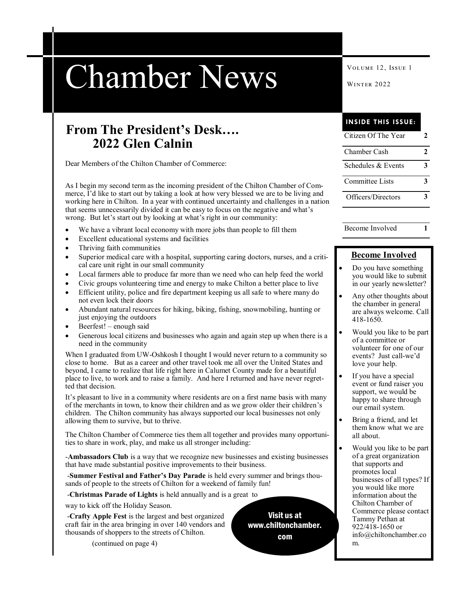# Chamber News WINTER 2022

## **From The President's Desk…. 2022 Glen Calnin**

Dear Members of the Chilton Chamber of Commerce:

As I begin my second term as the incoming president of the Chilton Chamber of Commerce, I'd like to start out by taking a look at how very blessed we are to be living and working here in Chilton. In a year with continued uncertainty and challenges in a nation that seems unnecessarily divided it can be easy to focus on the negative and what's wrong. But let's start out by looking at what's right in our community:

- We have a vibrant local economy with more jobs than people to fill them
- Excellent educational systems and facilities
- Thriving faith communities
- Superior medical care with a hospital, supporting caring doctors, nurses, and a critical care unit right in our small community
- Local farmers able to produce far more than we need who can help feed the world
- Civic groups volunteering time and energy to make Chilton a better place to live
- Efficient utility, police and fire department keeping us all safe to where many do not even lock their doors
- Abundant natural resources for hiking, biking, fishing, snowmobiling, hunting or just enjoying the outdoors
- Beerfest! enough said
- Generous local citizens and businesses who again and again step up when there is a need in the community

When I graduated from UW-Oshkosh I thought I would never return to a community so close to home. But as a career and other travel took me all over the United States and beyond, I came to realize that life right here in Calumet County made for a beautiful place to live, to work and to raise a family. And here I returned and have never regretted that decision.

It's pleasant to live in a community where residents are on a first name basis with many of the merchants in town, to know their children and as we grow older their children's children. The Chilton community has always supported our local businesses not only allowing them to survive, but to thrive.

The Chilton Chamber of Commerce ties them all together and provides many opportunities to share in work, play, and make us all stronger including:

-**Ambassadors Club** is a way that we recognize new businesses and existing businesses that have made substantial positive improvements to their business.

-**Summer Festival and Father's Day Parade** is held every summer and brings thousands of people to the streets of Chilton for a weekend of family fun!

-**Christmas Parade of Lights** is held annually and is a great to

way to kick off the Holiday Season.

-**Crafty Apple Fest** is the largest and best organized craft fair in the area bringing in over 140 vendors and thousands of shoppers to the streets of Chilton.

(continued on page 4)

Visit us at www.chiltonchamber. com

**INSIDE THIS ISSUE:**

| Citizen Of The Year |  |
|---------------------|--|
| Chamber Cash        |  |
| Schedules & Events  |  |
| Committee Lists     |  |
| Officers/Directors  |  |

Become Involved **1**

#### **Become Involved**

- Do you have something you would like to submit in our yearly newsletter?
- Any other thoughts about the chamber in general are always welcome. Call 418-1650.
- Would you like to be part of a committee or volunteer for one of our events? Just call-we'd love your help.
- If you have a special event or fund raiser you support, we would be happy to share through our email system.
- Bring a friend, and let them know what we are all about.
- Would you like to be part of a great organization that supports and promotes local businesses of all types? If you would like more information about the Chilton Chamber of Commerce please contact Tammy Pethan at 922/418-1650 or info@chiltonchamber.co m.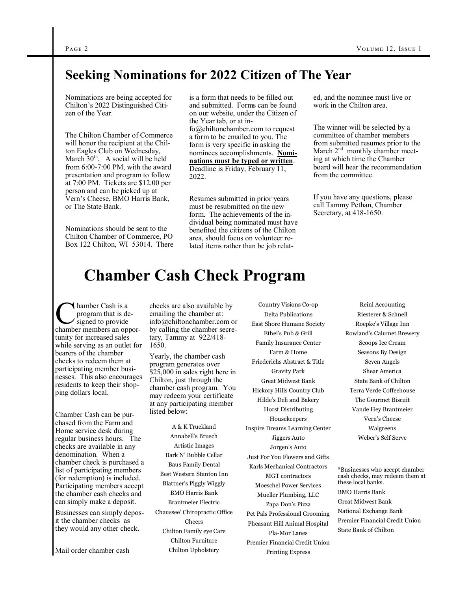## **Seeking Nominations for 2022 Citizen of The Year**

Nominations are being accepted for Chilton's 2022 Distinguished Citizen of the Year.

The Chilton Chamber of Commerce will honor the recipient at the Chilton Eagles Club on Wednesday, March  $30<sup>th</sup>$ . A social will be held from 6:00-7:00 PM, with the award presentation and program to follow at 7:00 PM. Tickets are \$12.00 per person and can be picked up at Vern's Cheese, BMO Harris Bank, or The State Bank.

Nominations should be sent to the Chilton Chamber of Commerce, PO Box 122 Chilton, WI 53014. There is a form that needs to be filled out and submitted. Forms can be found on our website, under the Citizen of the Year tab, or at info@chiltonchamber.com to request a form to be emailed to you. The form is very specific in asking the

nominees accomplishments. **Nominations must be typed or written**. Deadline is Friday, February 11, 2022.

Resumes submitted in prior years must be resubmitted on the new form. The achievements of the individual being nominated must have benefited the citizens of the Chilton area, should focus on volunteer related items rather than be job related, and the nominee must live or work in the Chilton area.

The winner will be selected by a committee of chamber members from submitted resumes prior to the March  $2<sup>nd</sup>$  monthly chamber meeting at which time the Chamber board will hear the recommendation from the committee.

If you have any questions, please call Tammy Pethan, Chamber Secretary, at 418-1650.

## **Chamber Cash Check Program**

Chamber Cash is a<br>program that is de-<br>signed to provide<br>chamber members an opporhamber Cash is a program that is designed to provide tunity for increased sales while serving as an outlet for bearers of the chamber checks to redeem them at participating member businesses. This also encourages residents to keep their shopping dollars local.

Chamber Cash can be purchased from the Farm and Home service desk during regular business hours. The checks are available in any denomination. When a chamber check is purchased a list of participating members (for redemption) is included. Participating members accept the chamber cash checks and can simply make a deposit.

Businesses can simply deposit the chamber checks as they would any other check.

Mail order chamber cash

checks are also available by emailing the chamber at: info@chiltonchamber.com or by calling the chamber secretary, Tammy at 922/418- 1650.

Yearly, the chamber cash program generates over \$25,000 in sales right here in Chilton, just through the chamber cash program. You may redeem your certificate at any participating member listed below:

A & K Truckland Annabell's Brusch Artistic Images Bark N' Bubble Cellar Baus Family Dental Best Western Stanton Inn Blattner's Piggly Wiggly BMO Harris Bank Brantmeier Electric Chaussee' Chiropractic Office Cheers Chilton Family eye Care Chilton Furniture Chilton Upholstery

Country Visions Co-op Delta Publications East Shore Humane Society Ethel's Pub & Grill Family Insurance Center Farm & Home Friederichs Abstract & Title Gravity Park Great Midwest Bank Hickory Hills Country Club Hilde's Deli and Bakery Horst Distributing Housekeepers Inspire Dreams Learning Center Jiggers Auto Jorgen's Auto Just For You Flowers and Gifts Karls Mechanical Contractors MGT contractors Moeschel Power Services Mueller Plumbing, LLC Papa Don's Pizza Pet Pals Professional Grooming Pheasant Hill Animal Hospital Pla-Mor Lanes Premier Financial Credit Union Printing Express

Reinl Accounting Riesterer & Schnell Roepke's Village Inn Rowland's Calumet Brewery Scoops Ice Cream Seasons By Design Seven Angels Shear America State Bank of Chilton Terra Verde Coffeehouse The Gourmet Biscuit Vande Hey Brantmeier Vern's Cheese Walgreens Weber's Self Serve

\*Businesses who accept chamber cash checks, may redeem them at these local banks. BMO Harris Bank Great Midwest Bank National Exchange Bank Premier Financial Credit Union State Bank of Chilton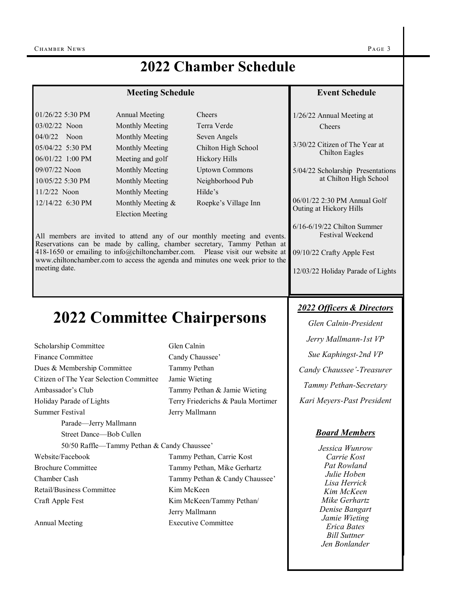meeting date.

| <b>Meeting Schedule</b> |                  | <b>Event Schedule</b> |                                                         |
|-------------------------|------------------|-----------------------|---------------------------------------------------------|
| 01/26/22 5:30 PM        | Annual Meeting   | <b>Cheers</b>         | 1/26/22 Annual Meeting at                               |
| 03/02/22 Noon           | Monthly Meeting  | Terra Verde           | Cheers                                                  |
| $04/0/22$ Noon          | Monthly Meeting  | Seven Angels          |                                                         |
| 05/04/22 5:30 PM        | Monthly Meeting  | Chilton High School   | 3/30/22 Citizen of The Year at<br><b>Chilton Eagles</b> |
| 06/01/22 1:00 PM        | Meeting and golf | Hickory Hills         |                                                         |
| 09/07/22 Noon           | Monthly Meeting  | <b>Uptown Commons</b> | 5/04/22 Scholarship Presentations                       |
| 10/05/22 5:30 PM        | Monthly Meeting  | Neighborhood Pub      | at Chilton High School                                  |
| $11/2/22$ Noon          | Monthly Meeting  | Hilde's               |                                                         |
|                         |                  |                       |                                                         |

06/01/22 2:30 PM Annual Golf Outing at Hickory Hills

6/16-6/19/22 Chilton Summer Festival Weekend

09/10/22 Crafty Apple Fest

12/03/22 Holiday Parade of Lights

# **2022 Committee Chairpersons**

All members are invited to attend any of our monthly meeting and events. Reservations can be made by calling, chamber secretary, Tammy Pethan at 418-1650 or emailing to info@chiltonchamber.com. Please visit our website at www.chiltonchamber.com to access the agenda and minutes one week prior to the

12/14/22 6:30 PM Monthly Meeting & Roepke's Village Inn Election Meeting

| Scholarship Committee                       | Glen Calnin                        |  |  |
|---------------------------------------------|------------------------------------|--|--|
| Finance Committee                           | Candy Chaussee'                    |  |  |
| Dues & Membership Committee                 | Tammy Pethan                       |  |  |
| Citizen of The Year Selection Committee     | Jamie Wieting                      |  |  |
| Ambassador's Club                           | Tammy Pethan & Jamie Wieting       |  |  |
| Holiday Parade of Lights                    | Terry Friederichs & Paula Mortimer |  |  |
| Summer Festival                             | Jerry Mallmann                     |  |  |
| Parade—Jerry Mallmann                       |                                    |  |  |
| Street Dance—Bob Cullen                     |                                    |  |  |
| 50/50 Raffle—Tammy Pethan & Candy Chaussee' |                                    |  |  |
| Website/Facebook                            | Tammy Pethan, Carrie Kost          |  |  |
| <b>Brochure Committee</b>                   | Tammy Pethan, Mike Gerhartz        |  |  |
| Chamber Cash                                | Tammy Pethan & Candy Chaussee'     |  |  |
| Retail/Business Committee                   | Kim McKeen                         |  |  |
| Craft Apple Fest                            | Kim McKeen/Tammy Pethan/           |  |  |
|                                             | Jerry Mallmann                     |  |  |
| Annual Meeting                              | <b>Executive Committee</b>         |  |  |

#### *2022 Officers & Directors*

*Glen Calnin-President Jerry Mallmann-1st VP Sue Kaphingst-2nd VP Candy Chaussee'-Treasurer Tammy Pethan-Secretary Kari Meyers-Past President*

#### *Board Members*

*Jessica Wunrow Carrie Kost Pat Rowland Julie Hoben Lisa Herrick Kim McKeen Mike Gerhartz Denise Bangart Jamie Wieting Erica Bates Bill Suttner Jen Bonlander*